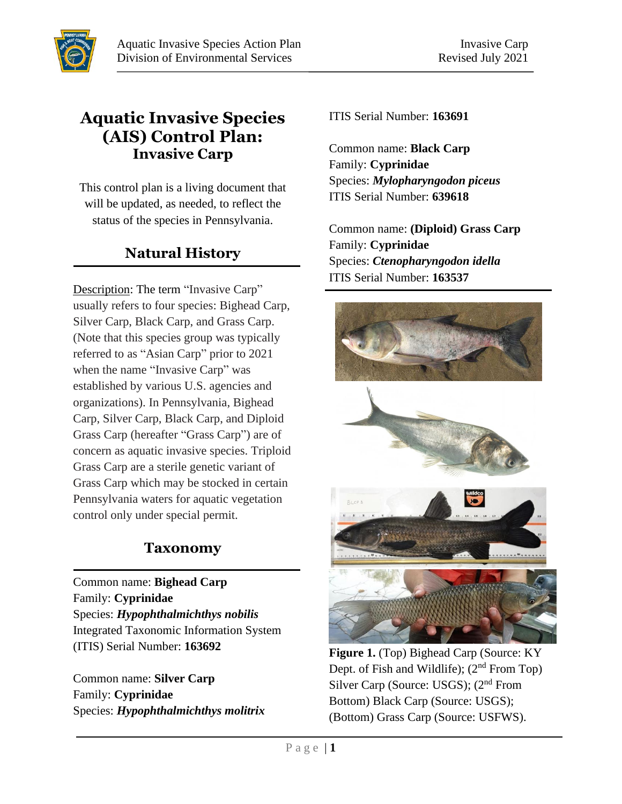## **Aquatic Invasive Species (AIS) Control Plan: Invasive Carp**

This control plan is a living document that will be updated, as needed, to reflect the status of the species in Pennsylvania.

# **Natural History**

Description: The term "Invasive Carp" usually refers to four species: Bighead Carp, Silver Carp, Black Carp, and Grass Carp. (Note that this species group was typically referred to as "Asian Carp" prior to 2021 when the name "Invasive Carp" was established by various U.S. agencies and organizations). In Pennsylvania, Bighead Carp, Silver Carp, Black Carp, and Diploid Grass Carp (hereafter "Grass Carp") are of concern as aquatic invasive species. Triploid Grass Carp are a sterile genetic variant of Grass Carp which may be stocked in certain Pennsylvania waters for aquatic vegetation control only under special permit.

## **Taxonomy**

Common name: **Bighead Carp** Family: **Cyprinidae** Species: *Hypophthalmichthys nobilis* Integrated Taxonomic Information System (ITIS) Serial Number: **163692**

Common name: **Silver Carp** Family: **Cyprinidae** Species: *Hypophthalmichthys molitrix* ITIS Serial Number: **163691**

Common name: **Black Carp** Family: **Cyprinidae** Species: *Mylopharyngodon piceus* ITIS Serial Number: **639618**

Common name: **(Diploid) Grass Carp** Family: **Cyprinidae** Species: *Ctenopharyngodon idella* ITIS Serial Number: **163537**



**Figure 1.** (Top) Bighead Carp (Source: KY Dept. of Fish and Wildlife);  $(2<sup>nd</sup>$  From Top) Silver Carp (Source: USGS); (2<sup>nd</sup> From Bottom) Black Carp (Source: USGS); (Bottom) Grass Carp (Source: USFWS).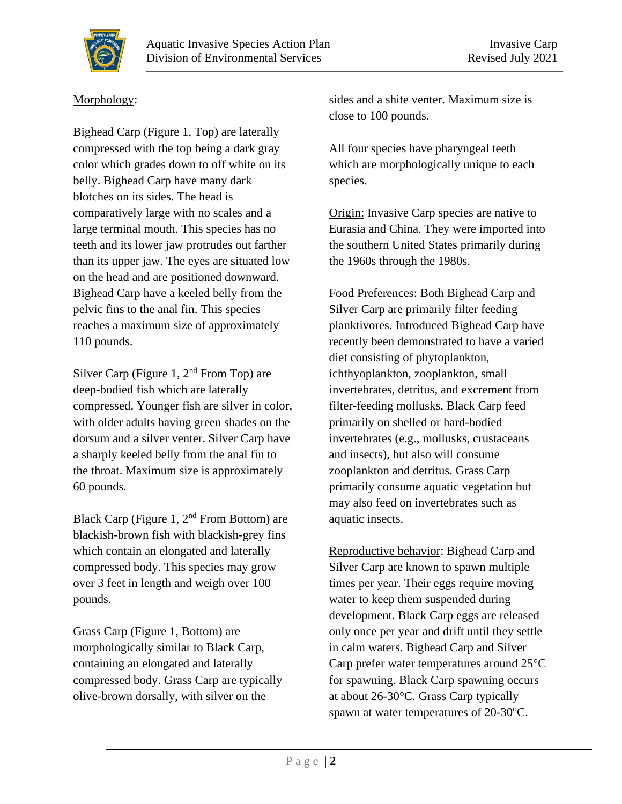

#### Morphology:

Bighead Carp (Figure 1, Top) are laterally compressed with the top being a dark gray color which grades down to off white on its belly. Bighead Carp have many dark blotches on its sides. The head is comparatively large with no scales and a large terminal mouth. This species has no teeth and its lower jaw protrudes out farther than its upper jaw. The eyes are situated low on the head and are positioned downward. Bighead Carp have a keeled belly from the pelvic fins to the anal fin. This species reaches a maximum size of approximately 110 pounds.

Silver Carp (Figure 1, 2<sup>nd</sup> From Top) are deep-bodied fish which are laterally compressed. Younger fish are silver in color, with older adults having green shades on the dorsum and a silver venter. Silver Carp have a sharply keeled belly from the anal fin to the throat. Maximum size is approximately 60 pounds.

Black Carp (Figure 1,  $2<sup>nd</sup>$  From Bottom) are blackish-brown fish with blackish-grey fins which contain an elongated and laterally compressed body. This species may grow over 3 feet in length and weigh over 100 pounds.

Grass Carp (Figure 1, Bottom) are morphologically similar to Black Carp, containing an elongated and laterally compressed body. Grass Carp are typically olive-brown dorsally, with silver on the

sides and a shite venter. Maximum size is close to 100 pounds.

All four species have pharyngeal teeth which are morphologically unique to each species.

Origin: Invasive Carp species are native to Eurasia and China. They were imported into the southern United States primarily during the 1960s through the 1980s.

Food Preferences: Both Bighead Carp and Silver Carp are primarily filter feeding planktivores. Introduced Bighead Carp have recently been demonstrated to have a varied diet consisting of phytoplankton, ichthyoplankton, zooplankton, small invertebrates, detritus, and excrement from filter-feeding mollusks. Black Carp feed primarily on shelled or hard-bodied invertebrates (e.g., mollusks, crustaceans and insects), but also will consume zooplankton and detritus. Grass Carp primarily consume aquatic vegetation but may also feed on invertebrates such as aquatic insects.

Reproductive behavior: Bighead Carp and Silver Carp are known to spawn multiple times per year. Their eggs require moving water to keep them suspended during development. Black Carp eggs are released only once per year and drift until they settle in calm waters. Bighead Carp and Silver Carp prefer water temperatures around 25°C for spawning. Black Carp spawning occurs at about 26-30°C. Grass Carp typically spawn at water temperatures of  $20-30^{\circ}$ C.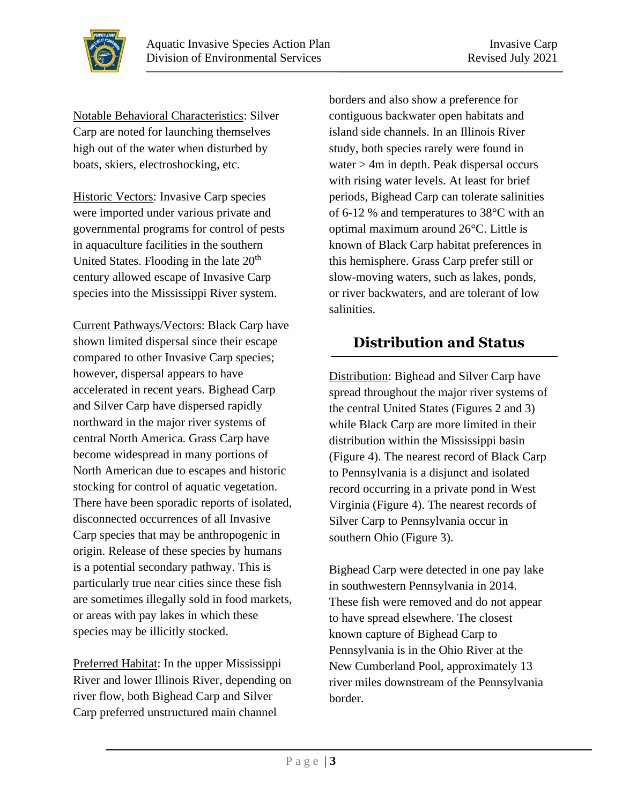

Notable Behavioral Characteristics: Silver Carp are noted for launching themselves high out of the water when disturbed by boats, skiers, electroshocking, etc.

Historic Vectors: Invasive Carp species were imported under various private and governmental programs for control of pests in aquaculture facilities in the southern United States. Flooding in the late  $20<sup>th</sup>$ century allowed escape of Invasive Carp species into the Mississippi River system.

Current Pathways/Vectors: Black Carp have shown limited dispersal since their escape compared to other Invasive Carp species; however, dispersal appears to have accelerated in recent years. Bighead Carp and Silver Carp have dispersed rapidly northward in the major river systems of central North America. Grass Carp have become widespread in many portions of North American due to escapes and historic stocking for control of aquatic vegetation. There have been sporadic reports of isolated, disconnected occurrences of all Invasive Carp species that may be anthropogenic in origin. Release of these species by humans is a potential secondary pathway. This is particularly true near cities since these fish are sometimes illegally sold in food markets, or areas with pay lakes in which these species may be illicitly stocked.

Preferred Habitat: In the upper Mississippi River and lower Illinois River, depending on river flow, both Bighead Carp and Silver Carp preferred unstructured main channel

borders and also show a preference for contiguous backwater open habitats and island side channels. In an Illinois River study, both species rarely were found in water > 4m in depth. Peak dispersal occurs with rising water levels. At least for brief periods, Bighead Carp can tolerate salinities of 6-12 % and temperatures to 38°C with an optimal maximum around 26°C. Little is known of Black Carp habitat preferences in this hemisphere. Grass Carp prefer still or slow-moving waters, such as lakes, ponds, or river backwaters, and are tolerant of low salinities.

# **Distribution and Status**

Distribution: Bighead and Silver Carp have spread throughout the major river systems of the central United States (Figures 2 and 3) while Black Carp are more limited in their distribution within the Mississippi basin (Figure 4). The nearest record of Black Carp to Pennsylvania is a disjunct and isolated record occurring in a private pond in West Virginia (Figure 4). The nearest records of Silver Carp to Pennsylvania occur in southern Ohio (Figure 3).

Bighead Carp were detected in one pay lake in southwestern Pennsylvania in 2014. These fish were removed and do not appear to have spread elsewhere. The closest known capture of Bighead Carp to Pennsylvania is in the Ohio River at the New Cumberland Pool, approximately 13 river miles downstream of the Pennsylvania border.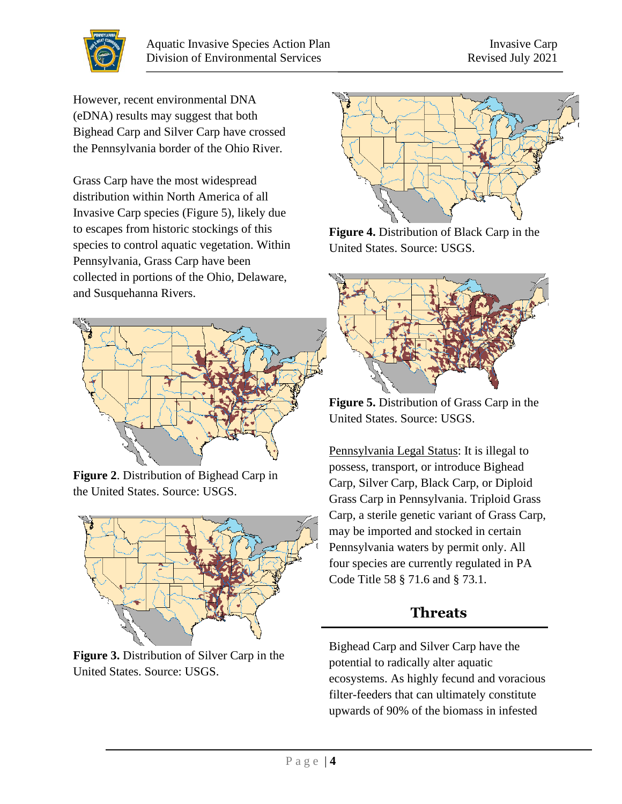

However, recent environmental DNA (eDNA) results may suggest that both Bighead Carp and Silver Carp have crossed the Pennsylvania border of the Ohio River.

Grass Carp have the most widespread distribution within North America of all Invasive Carp species (Figure 5), likely due to escapes from historic stockings of this species to control aquatic vegetation. Within Pennsylvania, Grass Carp have been collected in portions of the Ohio, Delaware, and Susquehanna Rivers.



**Figure 2**. Distribution of Bighead Carp in the United States. Source: USGS.



**Figure 3.** Distribution of Silver Carp in the United States. Source: USGS.



**Figure 4.** Distribution of Black Carp in the United States. Source: USGS.



**Figure 5.** Distribution of Grass Carp in the United States. Source: USGS.

Pennsylvania Legal Status: It is illegal to possess, transport, or introduce Bighead Carp, Silver Carp, Black Carp, or Diploid Grass Carp in Pennsylvania. Triploid Grass Carp, a sterile genetic variant of Grass Carp, may be imported and stocked in certain Pennsylvania waters by permit only. All four species are currently regulated in PA Code Title 58 § 71.6 and § 73.1.

## **Threats**

Bighead Carp and Silver Carp have the potential to radically alter aquatic ecosystems. As highly fecund and voracious filter-feeders that can ultimately constitute upwards of 90% of the biomass in infested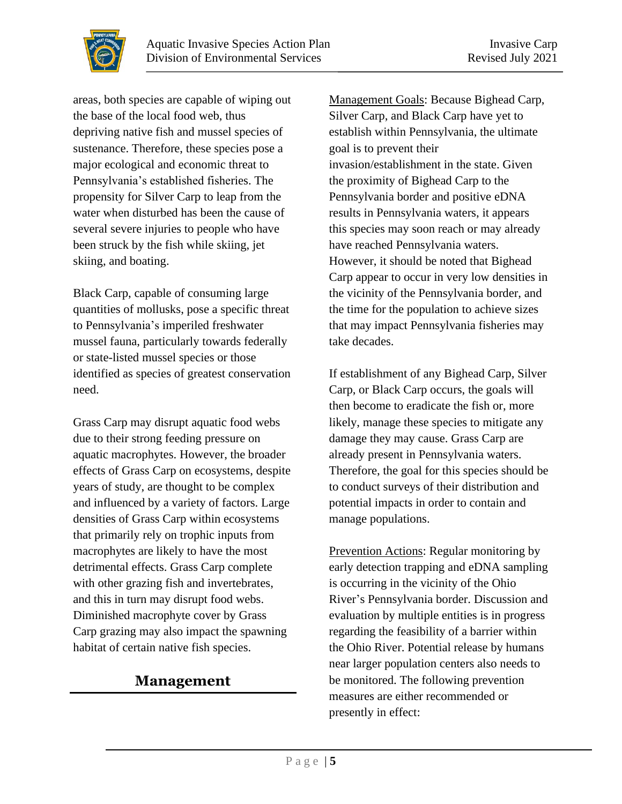areas, both species are capable of wiping out the base of the local food web, thus depriving native fish and mussel species of sustenance. Therefore, these species pose a major ecological and economic threat to Pennsylvania's established fisheries. The propensity for Silver Carp to leap from the water when disturbed has been the cause of several severe injuries to people who have been struck by the fish while skiing, jet

Black Carp, capable of consuming large quantities of mollusks, pose a specific threat to Pennsylvania's imperiled freshwater mussel fauna, particularly towards federally or state-listed mussel species or those identified as species of greatest conservation need.

Grass Carp may disrupt aquatic food webs due to their strong feeding pressure on aquatic macrophytes. However, the broader effects of Grass Carp on ecosystems, despite years of study, are thought to be complex and influenced by a variety of factors. Large densities of Grass Carp within ecosystems that primarily rely on trophic inputs from macrophytes are likely to have the most detrimental effects. Grass Carp complete with other grazing fish and invertebrates, and this in turn may disrupt food webs. Diminished macrophyte cover by Grass Carp grazing may also impact the spawning habitat of certain native fish species.

## **Management**

Management Goals: Because Bighead Carp, Silver Carp, and Black Carp have yet to establish within Pennsylvania, the ultimate goal is to prevent their invasion/establishment in the state. Given the proximity of Bighead Carp to the Pennsylvania border and positive eDNA results in Pennsylvania waters, it appears this species may soon reach or may already have reached Pennsylvania waters. However, it should be noted that Bighead Carp appear to occur in very low densities in the vicinity of the Pennsylvania border, and the time for the population to achieve sizes that may impact Pennsylvania fisheries may take decades.

If establishment of any Bighead Carp, Silver Carp, or Black Carp occurs, the goals will then become to eradicate the fish or, more likely, manage these species to mitigate any damage they may cause. Grass Carp are already present in Pennsylvania waters. Therefore, the goal for this species should be to conduct surveys of their distribution and potential impacts in order to contain and manage populations.

Prevention Actions: Regular monitoring by early detection trapping and eDNA sampling is occurring in the vicinity of the Ohio River's Pennsylvania border. Discussion and evaluation by multiple entities is in progress regarding the feasibility of a barrier within the Ohio River. Potential release by humans near larger population centers also needs to be monitored. The following prevention measures are either recommended or presently in effect:



skiing, and boating.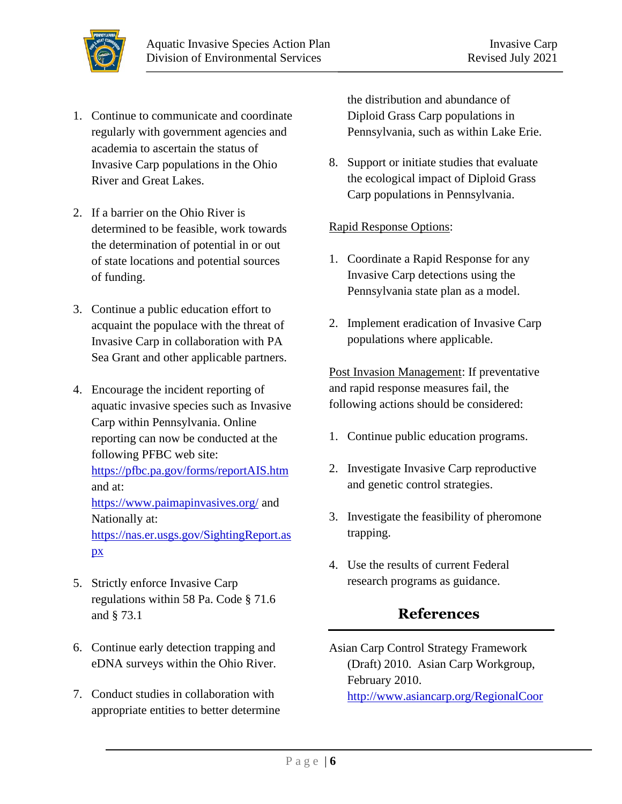

- 1. Continue to communicate and coordinate regularly with government agencies and academia to ascertain the status of Invasive Carp populations in the Ohio River and Great Lakes.
- 2. If a barrier on the Ohio River is determined to be feasible, work towards the determination of potential in or out of state locations and potential sources of funding.
- 3. Continue a public education effort to acquaint the populace with the threat of Invasive Carp in collaboration with PA Sea Grant and other applicable partners.
- 4. Encourage the incident reporting of aquatic invasive species such as Invasive Carp within Pennsylvania. Online reporting can now be conducted at the following PFBC web site: <https://pfbc.pa.gov/forms/reportAIS.htm> and at: <https://www.paimapinvasives.org/> and Nationally at: [https://nas.er.usgs.gov/SightingReport.as](https://nas.er.usgs.gov/SightingReport.aspx) [px](https://nas.er.usgs.gov/SightingReport.aspx)
- 5. Strictly enforce Invasive Carp regulations within 58 Pa. Code § 71.6 and § 73.1
- 6. Continue early detection trapping and eDNA surveys within the Ohio River.
- 7. Conduct studies in collaboration with appropriate entities to better determine

the distribution and abundance of Diploid Grass Carp populations in Pennsylvania, such as within Lake Erie.

8. Support or initiate studies that evaluate the ecological impact of Diploid Grass Carp populations in Pennsylvania.

#### Rapid Response Options:

- 1. Coordinate a Rapid Response for any Invasive Carp detections using the Pennsylvania state plan as a model.
- 2. Implement eradication of Invasive Carp populations where applicable.

Post Invasion Management: If preventative and rapid response measures fail, the following actions should be considered:

- 1. Continue public education programs.
- 2. Investigate Invasive Carp reproductive and genetic control strategies.
- 3. Investigate the feasibility of pheromone trapping.
- 4. Use the results of current Federal research programs as guidance.

### **References**

Asian Carp Control Strategy Framework (Draft) 2010. Asian Carp Workgroup, February 2010. [http://www.asiancarp.org/RegionalCoor](http://www.asiancarp.org/RegionalCoordination/documents/AsianCarpControlStrategyFramework.pdf)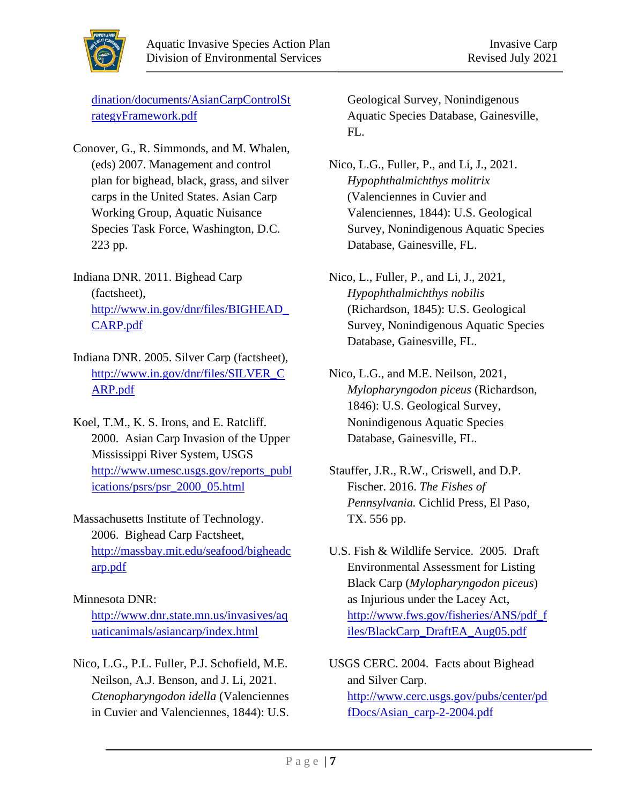

[dination/documents/AsianCarpControlSt](http://www.asiancarp.org/RegionalCoordination/documents/AsianCarpControlStrategyFramework.pdf) [rategyFramework.pdf](http://www.asiancarp.org/RegionalCoordination/documents/AsianCarpControlStrategyFramework.pdf)

- Conover, G., R. Simmonds, and M. Whalen, (eds) 2007. Management and control plan for bighead, black, grass, and silver carps in the United States. Asian Carp Working Group, Aquatic Nuisance Species Task Force, Washington, D.C. 223 pp.
- Indiana DNR. 2011. Bighead Carp (factsheet), [http://www.in.gov/dnr/files/BIGHEAD\\_](http://www.in.gov/dnr/files/BIGHEAD_CARP.pdf) [CARP.pdf](http://www.in.gov/dnr/files/BIGHEAD_CARP.pdf)
- Indiana DNR. 2005. Silver Carp (factsheet), [http://www.in.gov/dnr/files/SILVER\\_C](http://www.in.gov/dnr/files/SILVER_CARP.pdf) [ARP.pdf](http://www.in.gov/dnr/files/SILVER_CARP.pdf)
- Koel, T.M., K. S. Irons, and E. Ratcliff. 2000. Asian Carp Invasion of the Upper Mississippi River System, USGS [http://www.umesc.usgs.gov/reports\\_publ](http://www.umesc.usgs.gov/reports_publications/psrs/psr_2000_05.html) [ications/psrs/psr\\_2000\\_05.html](http://www.umesc.usgs.gov/reports_publications/psrs/psr_2000_05.html)
- Massachusetts Institute of Technology. 2006. Bighead Carp Factsheet, [http://massbay.mit.edu/seafood/bigheadc](http://massbay.mit.edu/seafood/bigheadcarp.pdf) [arp.pdf](http://massbay.mit.edu/seafood/bigheadcarp.pdf)

#### Minnesota DNR:

[http://www.dnr.state.mn.us/invasives/aq](http://www.dnr.state.mn.us/invasives/aquaticanimals/asiancarp/index.html) [uaticanimals/asiancarp/index.html](http://www.dnr.state.mn.us/invasives/aquaticanimals/asiancarp/index.html)

Nico, L.G., P.L. Fuller, P.J. Schofield, M.E. Neilson, A.J. Benson, and J. Li, 2021. *Ctenopharyngodon idella* (Valenciennes in Cuvier and Valenciennes, 1844): U.S.

Geological Survey, Nonindigenous Aquatic Species Database, Gainesville, FL.

- Nico, L.G., Fuller, P., and Li, J., 2021. *Hypophthalmichthys molitrix* (Valenciennes in Cuvier and Valenciennes, 1844): U.S. Geological Survey, Nonindigenous Aquatic Species Database, Gainesville, FL.
- Nico, L., Fuller, P., and Li, J., 2021, *Hypophthalmichthys nobilis* (Richardson, 1845): U.S. Geological Survey, Nonindigenous Aquatic Species Database, Gainesville, FL.
- Nico, L.G., and M.E. Neilson, 2021, *Mylopharyngodon piceus* (Richardson, 1846): U.S. Geological Survey, Nonindigenous Aquatic Species Database, Gainesville, FL.
- Stauffer, J.R., R.W., Criswell, and D.P. Fischer. 2016. *The Fishes of Pennsylvania.* Cichlid Press, El Paso, TX. 556 pp.
- U.S. Fish & Wildlife Service. 2005. Draft Environmental Assessment for Listing Black Carp (*Mylopharyngodon piceus*) as Injurious under the Lacey Act, [http://www.fws.gov/fisheries/ANS/pdf\\_f](http://www.fws.gov/fisheries/ANS/pdf_files/BlackCarp_DraftEA_Aug05.pdf) [iles/BlackCarp\\_DraftEA\\_Aug05.pdf](http://www.fws.gov/fisheries/ANS/pdf_files/BlackCarp_DraftEA_Aug05.pdf)
- USGS CERC. 2004. Facts about Bighead and Silver Carp. [http://www.cerc.usgs.gov/pubs/center/pd](http://www.cerc.usgs.gov/pubs/center/pdfDocs/Asian_carp-2-2004.pdf) [fDocs/Asian\\_carp-2-2004.pdf](http://www.cerc.usgs.gov/pubs/center/pdfDocs/Asian_carp-2-2004.pdf)